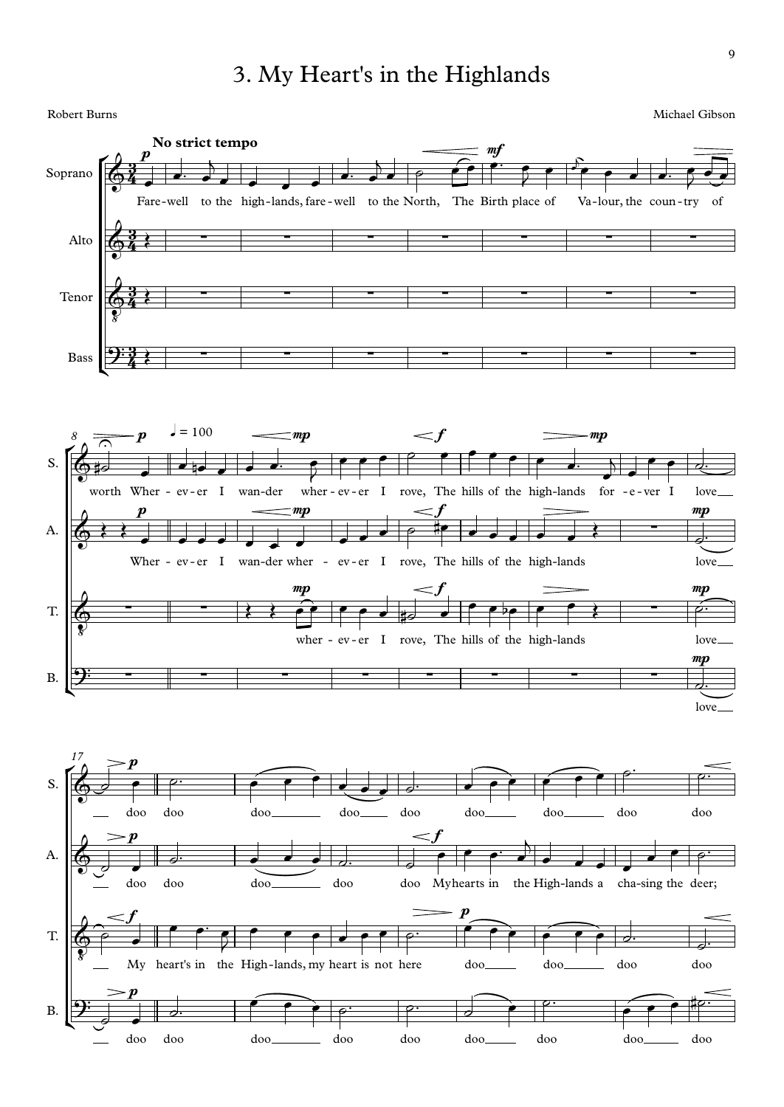## 3. My Heart's in the Highlands<br>Robert Burns Michael Gibson

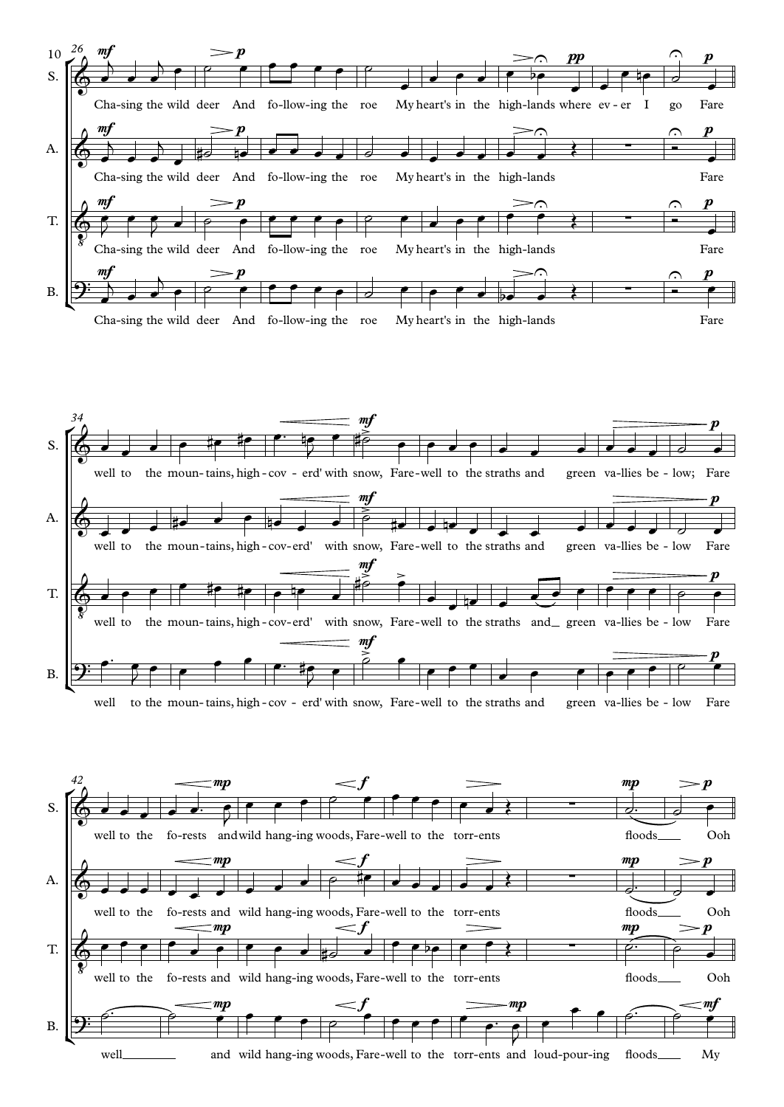